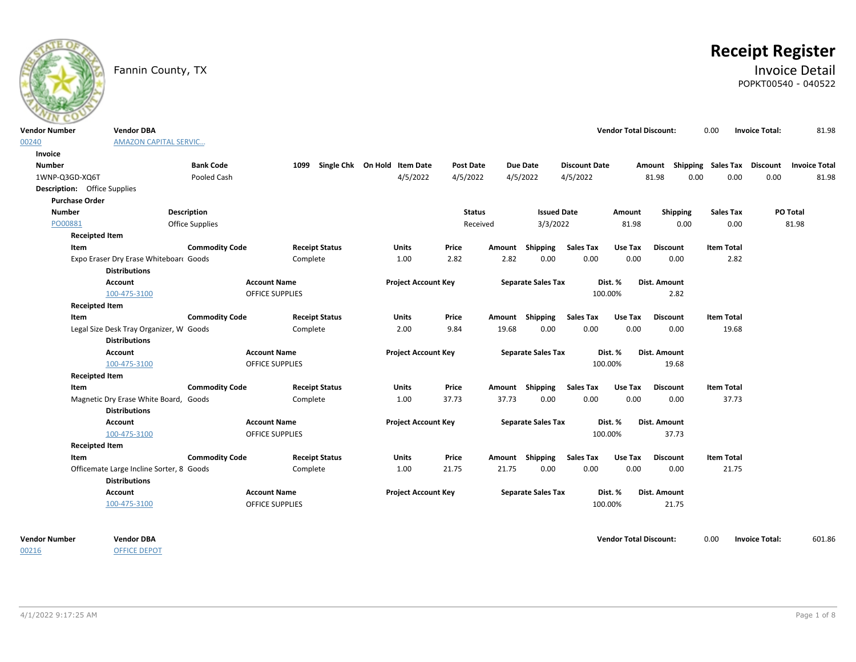

# **Receipt Register**

### Fannin County, TX **Invoice Detail** POPKT00540 - 040522

| <b>Vendor Number</b>                | <b>Vendor DBA</b>                                                |                       |                        |                                   |                            |                  |                 |                           |                      | <b>Vendor Total Discount:</b> |                                                  | 0.00              | <b>Invoice Total:</b> | 81.98    |
|-------------------------------------|------------------------------------------------------------------|-----------------------|------------------------|-----------------------------------|----------------------------|------------------|-----------------|---------------------------|----------------------|-------------------------------|--------------------------------------------------|-------------------|-----------------------|----------|
| 00240                               | <b>AMAZON CAPITAL SERVIC</b>                                     |                       |                        |                                   |                            |                  |                 |                           |                      |                               |                                                  |                   |                       |          |
| Invoice                             |                                                                  |                       |                        |                                   |                            |                  |                 |                           |                      |                               |                                                  |                   |                       |          |
| <b>Number</b>                       |                                                                  | <b>Bank Code</b>      |                        | 1099 Single Chk On Hold Item Date |                            | <b>Post Date</b> |                 | <b>Due Date</b>           | <b>Discount Date</b> |                               | Amount Shipping Sales Tax Discount Invoice Total |                   |                       |          |
| 1WNP-Q3GD-XQ6T                      |                                                                  | Pooled Cash           |                        |                                   | 4/5/2022                   | 4/5/2022         |                 | 4/5/2022                  | 4/5/2022             |                               | 81.98<br>0.00                                    | 0.00              | 0.00                  | 81.98    |
| <b>Description:</b> Office Supplies |                                                                  |                       |                        |                                   |                            |                  |                 |                           |                      |                               |                                                  |                   |                       |          |
| <b>Purchase Order</b>               |                                                                  |                       |                        |                                   |                            |                  |                 |                           |                      |                               |                                                  |                   |                       |          |
| <b>Number</b>                       |                                                                  | Description           |                        |                                   |                            | <b>Status</b>    |                 | <b>Issued Date</b>        |                      | Amount                        | <b>Shipping</b>                                  | <b>Sales Tax</b>  |                       | PO Total |
| PO00881                             |                                                                  | Office Supplies       |                        |                                   |                            | Received         |                 | 3/3/2022                  |                      | 81.98                         | 0.00                                             | 0.00              |                       | 81.98    |
| <b>Receipted Item</b>               |                                                                  |                       |                        |                                   |                            |                  |                 |                           |                      |                               |                                                  |                   |                       |          |
| Item                                |                                                                  | <b>Commodity Code</b> |                        | <b>Receipt Status</b>             | <b>Units</b>               | Price            |                 | Amount Shipping           | <b>Sales Tax</b>     | Use Tax                       | <b>Discount</b>                                  | <b>Item Total</b> |                       |          |
|                                     | Expo Eraser Dry Erase Whiteboar( Goods<br><b>Distributions</b>   |                       | Complete               |                                   | 1.00                       | 2.82             | 2.82            | 0.00                      | 0.00                 | 0.00                          | 0.00                                             | 2.82              |                       |          |
|                                     | <b>Account</b>                                                   |                       | <b>Account Name</b>    |                                   | <b>Project Account Key</b> |                  |                 | <b>Separate Sales Tax</b> |                      | Dist. %                       | Dist. Amount                                     |                   |                       |          |
|                                     | 100-475-3100                                                     |                       | <b>OFFICE SUPPLIES</b> |                                   |                            |                  |                 |                           | 100.00%              |                               | 2.82                                             |                   |                       |          |
| <b>Receipted Item</b>               |                                                                  |                       |                        |                                   |                            |                  |                 |                           |                      |                               |                                                  |                   |                       |          |
| Item                                |                                                                  | <b>Commodity Code</b> |                        | <b>Receipt Status</b>             | <b>Units</b>               | Price            |                 | Amount Shipping           | <b>Sales Tax</b>     | Use Tax                       | <b>Discount</b>                                  | <b>Item Total</b> |                       |          |
|                                     | Legal Size Desk Tray Organizer, W Goods<br><b>Distributions</b>  |                       | Complete               |                                   | 2.00                       | 9.84             | 19.68           | 0.00                      | 0.00                 | 0.00                          | 0.00                                             | 19.68             |                       |          |
|                                     | <b>Account</b>                                                   |                       | <b>Account Name</b>    |                                   | <b>Project Account Key</b> |                  |                 | <b>Separate Sales Tax</b> |                      | Dist. %                       | Dist. Amount                                     |                   |                       |          |
|                                     | 100-475-3100                                                     |                       | OFFICE SUPPLIES        |                                   |                            |                  |                 |                           | 100.00%              |                               | 19.68                                            |                   |                       |          |
| <b>Receipted Item</b>               |                                                                  |                       |                        |                                   |                            |                  |                 |                           |                      |                               |                                                  |                   |                       |          |
| Item                                |                                                                  | <b>Commodity Code</b> |                        | <b>Receipt Status</b>             | <b>Units</b>               | Price            | Amount Shipping |                           | <b>Sales Tax</b>     | Use Tax                       | <b>Discount</b>                                  | <b>Item Total</b> |                       |          |
|                                     | Magnetic Dry Erase White Board, Goods<br><b>Distributions</b>    |                       | Complete               |                                   | 1.00                       | 37.73            | 37.73           | 0.00                      | 0.00                 | 0.00                          | 0.00                                             | 37.73             |                       |          |
|                                     | <b>Account</b>                                                   |                       | <b>Account Name</b>    |                                   | <b>Project Account Key</b> |                  |                 | <b>Separate Sales Tax</b> |                      | Dist. %                       | Dist. Amount                                     |                   |                       |          |
|                                     | 100-475-3100                                                     |                       | OFFICE SUPPLIES        |                                   |                            |                  |                 |                           | 100.00%              |                               | 37.73                                            |                   |                       |          |
| <b>Receipted Item</b>               |                                                                  |                       |                        |                                   |                            |                  |                 |                           |                      |                               |                                                  |                   |                       |          |
| Item                                |                                                                  | <b>Commodity Code</b> |                        | <b>Receipt Status</b>             | Units                      | Price            | Amount Shipping |                           | <b>Sales Tax</b>     | Use Tax                       | <b>Discount</b>                                  | <b>Item Total</b> |                       |          |
|                                     | Officemate Large Incline Sorter, 8 Goods<br><b>Distributions</b> |                       | Complete               |                                   | 1.00                       | 21.75            | 21.75           | 0.00                      | 0.00                 | 0.00                          | 0.00                                             | 21.75             |                       |          |
|                                     | Account                                                          |                       | <b>Account Name</b>    |                                   | <b>Project Account Key</b> |                  |                 | <b>Separate Sales Tax</b> |                      | Dist. %                       | Dist. Amount                                     |                   |                       |          |
|                                     | 100-475-3100                                                     |                       | <b>OFFICE SUPPLIES</b> |                                   |                            |                  |                 |                           | 100.00%              |                               | 21.75                                            |                   |                       |          |
| <b>Vendor Number</b>                | <b>Vendor DBA</b>                                                |                       |                        |                                   |                            |                  |                 |                           |                      | <b>Vendor Total Discount:</b> |                                                  | 0.00              | <b>Invoice Total:</b> | 601.86   |

OFFICE DEPOT

00216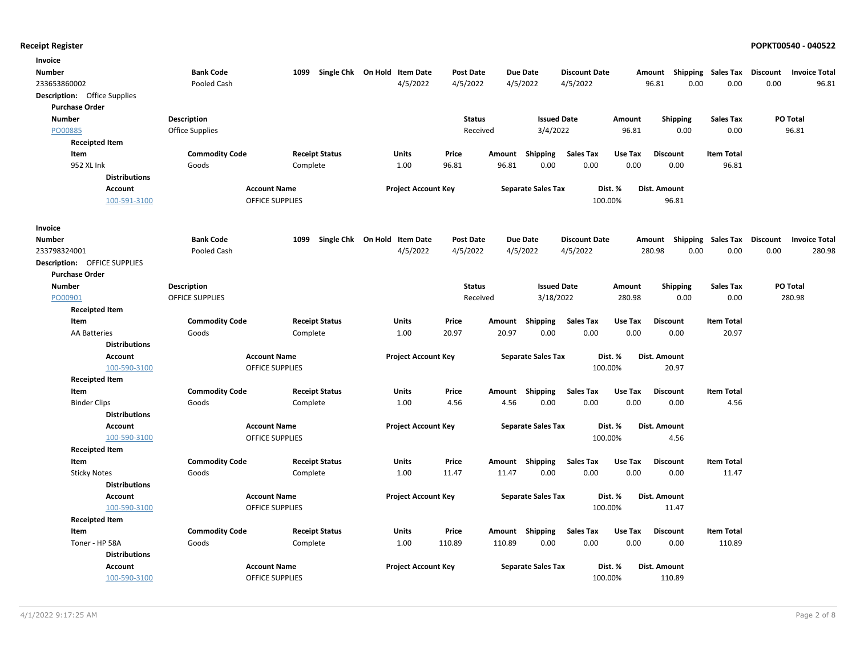| Invoice                             |                        |                        |                              |                            |                  |        |                           |                      |         |                           |                    |          |                      |
|-------------------------------------|------------------------|------------------------|------------------------------|----------------------------|------------------|--------|---------------------------|----------------------|---------|---------------------------|--------------------|----------|----------------------|
| <b>Number</b>                       | <b>Bank Code</b>       | 1099                   | Single Chk On Hold Item Date |                            | <b>Post Date</b> |        | <b>Due Date</b>           | <b>Discount Date</b> |         | Amount Shipping Sales Tax |                    | Discount | <b>Invoice Total</b> |
| 233653860002                        | Pooled Cash            |                        |                              | 4/5/2022                   | 4/5/2022         |        | 4/5/2022                  | 4/5/2022             |         | 0.00<br>96.81             | 0.00               | 0.00     | 96.81                |
| <b>Description:</b> Office Supplies |                        |                        |                              |                            |                  |        |                           |                      |         |                           |                    |          |                      |
| <b>Purchase Order</b>               |                        |                        |                              |                            |                  |        |                           |                      |         |                           |                    |          |                      |
| <b>Number</b>                       | <b>Description</b>     |                        |                              |                            | <b>Status</b>    |        | <b>Issued Date</b>        |                      | Amount  | <b>Shipping</b>           | <b>Sales Tax</b>   |          | <b>PO Total</b>      |
| PO00885                             | <b>Office Supplies</b> |                        |                              |                            | Received         |        | 3/4/2022                  |                      | 96.81   | 0.00                      | 0.00               |          | 96.81                |
| <b>Receipted Item</b>               |                        |                        |                              |                            |                  |        |                           |                      |         |                           |                    |          |                      |
| Item                                | <b>Commodity Code</b>  |                        | <b>Receipt Status</b>        | <b>Units</b>               | Price            | Amount | Shipping                  | Sales Tax            | Use Tax | <b>Discount</b>           | <b>Item Total</b>  |          |                      |
| 952 XL Ink                          | Goods                  |                        | Complete                     | 1.00                       | 96.81            | 96.81  | 0.00                      | 0.00                 | 0.00    | 0.00                      | 96.81              |          |                      |
| <b>Distributions</b>                |                        |                        |                              |                            |                  |        |                           |                      |         |                           |                    |          |                      |
| Account                             |                        | <b>Account Name</b>    |                              | <b>Project Account Key</b> |                  |        | <b>Separate Sales Tax</b> | Dist. %              |         | Dist. Amount              |                    |          |                      |
| 100-591-3100                        |                        | <b>OFFICE SUPPLIES</b> |                              |                            |                  |        |                           | 100.00%              |         | 96.81                     |                    |          |                      |
| Invoice                             |                        |                        |                              |                            |                  |        |                           |                      |         |                           |                    |          |                      |
| Number                              | <b>Bank Code</b>       | 1099                   | Single Chk On Hold Item Date |                            | <b>Post Date</b> |        | <b>Due Date</b>           | <b>Discount Date</b> | Amount  |                           | Shipping Sales Tax | Discount | <b>Invoice Total</b> |
| 233798324001                        | Pooled Cash            |                        |                              | 4/5/2022                   | 4/5/2022         |        | 4/5/2022                  | 4/5/2022             |         | 280.98<br>0.00            | 0.00               | 0.00     | 280.98               |
| <b>Description: OFFICE SUPPLIES</b> |                        |                        |                              |                            |                  |        |                           |                      |         |                           |                    |          |                      |
| <b>Purchase Order</b>               |                        |                        |                              |                            |                  |        |                           |                      |         |                           |                    |          |                      |
| <b>Number</b>                       | <b>Description</b>     |                        |                              |                            | <b>Status</b>    |        | <b>Issued Date</b>        |                      | Amount  | <b>Shipping</b>           | <b>Sales Tax</b>   |          | PO Total             |
| PO00901                             | OFFICE SUPPLIES        |                        |                              |                            | Received         |        | 3/18/2022                 |                      | 280.98  | 0.00                      | 0.00               |          | 280.98               |
| <b>Receipted Item</b>               |                        |                        |                              |                            |                  |        |                           |                      |         |                           |                    |          |                      |
| Item                                | <b>Commodity Code</b>  |                        | <b>Receipt Status</b>        | Units                      | Price            | Amount | Shipping                  | <b>Sales Tax</b>     | Use Tax | <b>Discount</b>           | <b>Item Total</b>  |          |                      |
| AA Batteries                        | Goods                  |                        | Complete                     | 1.00                       | 20.97            | 20.97  | 0.00                      | 0.00                 | 0.00    | 0.00                      | 20.97              |          |                      |
| <b>Distributions</b>                |                        |                        |                              |                            |                  |        |                           |                      |         |                           |                    |          |                      |
| <b>Account</b>                      |                        | <b>Account Name</b>    |                              | <b>Project Account Key</b> |                  |        | <b>Separate Sales Tax</b> | Dist. %              |         | Dist. Amount              |                    |          |                      |
| 100-590-3100                        |                        | <b>OFFICE SUPPLIES</b> |                              |                            |                  |        |                           | 100.00%              |         | 20.97                     |                    |          |                      |
| <b>Receipted Item</b>               |                        |                        |                              |                            |                  |        |                           |                      |         |                           |                    |          |                      |
| Item                                | <b>Commodity Code</b>  |                        | <b>Receipt Status</b>        | Units                      | Price            |        | Amount Shipping           | <b>Sales Tax</b>     | Use Tax | <b>Discount</b>           | <b>Item Total</b>  |          |                      |
| <b>Binder Clips</b>                 | Goods                  |                        | Complete                     | 1.00                       | 4.56             | 4.56   | 0.00                      | 0.00                 | 0.00    | 0.00                      | 4.56               |          |                      |
| <b>Distributions</b>                |                        |                        |                              |                            |                  |        |                           |                      |         |                           |                    |          |                      |
| Account                             |                        | <b>Account Name</b>    |                              | <b>Project Account Key</b> |                  |        | <b>Separate Sales Tax</b> | Dist. %              |         | Dist. Amount              |                    |          |                      |
| 100-590-3100                        |                        | OFFICE SUPPLIES        |                              |                            |                  |        |                           | 100.00%              |         | 4.56                      |                    |          |                      |
| <b>Receipted Item</b>               |                        |                        |                              |                            |                  |        |                           |                      |         |                           |                    |          |                      |
| Item                                | <b>Commodity Code</b>  |                        | <b>Receipt Status</b>        | Units                      | Price            | Amount | Shipping                  | <b>Sales Tax</b>     | Use Tax | <b>Discount</b>           | <b>Item Total</b>  |          |                      |
| <b>Sticky Notes</b>                 | Goods                  |                        | Complete                     | 1.00                       | 11.47            | 11.47  | 0.00                      | 0.00                 | 0.00    | 0.00                      | 11.47              |          |                      |
| <b>Distributions</b>                |                        |                        |                              |                            |                  |        |                           |                      |         |                           |                    |          |                      |
| <b>Account</b>                      |                        | <b>Account Name</b>    |                              | <b>Project Account Key</b> |                  |        | <b>Separate Sales Tax</b> | Dist. %              |         | Dist. Amount              |                    |          |                      |
| 100-590-3100                        |                        | <b>OFFICE SUPPLIES</b> |                              |                            |                  |        |                           | 100.00%              |         | 11.47                     |                    |          |                      |
| <b>Receipted Item</b>               |                        |                        |                              |                            |                  |        |                           |                      |         |                           |                    |          |                      |
| Item                                | <b>Commodity Code</b>  |                        | <b>Receipt Status</b>        | Units                      | Price            | Amount | Shipping                  | <b>Sales Tax</b>     | Use Tax | <b>Discount</b>           | <b>Item Total</b>  |          |                      |
| Toner - HP 58A                      | Goods                  |                        | Complete                     | 1.00                       | 110.89           | 110.89 | 0.00                      | 0.00                 | 0.00    | 0.00                      | 110.89             |          |                      |
| <b>Distributions</b>                |                        |                        |                              |                            |                  |        |                           |                      |         |                           |                    |          |                      |
| Account                             |                        | <b>Account Name</b>    |                              | <b>Project Account Key</b> |                  |        | <b>Separate Sales Tax</b> | Dist. %              |         | Dist. Amount              |                    |          |                      |
| 100-590-3100                        |                        | <b>OFFICE SUPPLIES</b> |                              |                            |                  |        |                           | 100.00%              |         | 110.89                    |                    |          |                      |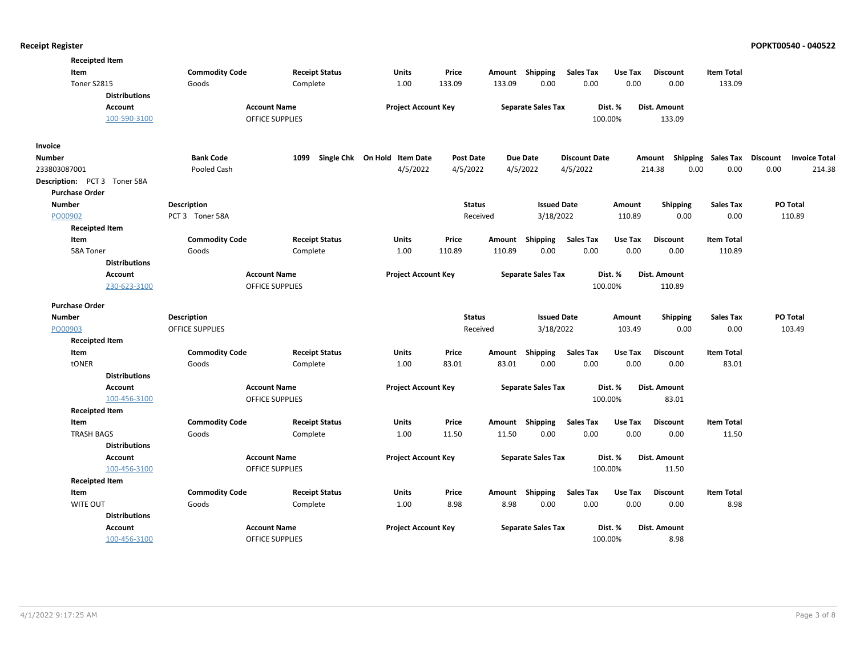| <b>Receipted Item</b>        |                        |                        |                              |                  |          |                           |                      |         |                                    |                   |                      |
|------------------------------|------------------------|------------------------|------------------------------|------------------|----------|---------------------------|----------------------|---------|------------------------------------|-------------------|----------------------|
| Item                         | <b>Commodity Code</b>  | <b>Receipt Status</b>  | Units                        | Price            |          | Amount Shipping           | <b>Sales Tax</b>     | Use Tax | <b>Discount</b>                    | <b>Item Total</b> |                      |
| Toner S2815                  | Goods                  | Complete               | 1.00                         | 133.09           | 133.09   | 0.00                      | 0.00                 | 0.00    | 0.00                               | 133.09            |                      |
| <b>Distributions</b>         |                        |                        |                              |                  |          |                           |                      |         |                                    |                   |                      |
| <b>Account</b>               |                        | <b>Account Name</b>    | <b>Project Account Key</b>   |                  |          | <b>Separate Sales Tax</b> |                      | Dist. % | Dist. Amount                       |                   |                      |
| 100-590-3100                 |                        | <b>OFFICE SUPPLIES</b> |                              |                  |          |                           |                      | 100.00% | 133.09                             |                   |                      |
| Invoice                      |                        |                        |                              |                  |          |                           |                      |         |                                    |                   |                      |
| <b>Number</b>                | <b>Bank Code</b>       | 1099                   | Single Chk On Hold Item Date | <b>Post Date</b> |          | <b>Due Date</b>           | <b>Discount Date</b> |         | Amount Shipping Sales Tax Discount |                   | <b>Invoice Total</b> |
| 233803087001                 | Pooled Cash            |                        | 4/5/2022                     | 4/5/2022         |          | 4/5/2022                  | 4/5/2022             |         | 214.38<br>0.00                     | 0.00              | 0.00<br>214.38       |
| Description: PCT 3 Toner 58A |                        |                        |                              |                  |          |                           |                      |         |                                    |                   |                      |
| <b>Purchase Order</b>        |                        |                        |                              |                  |          |                           |                      |         |                                    |                   |                      |
| <b>Number</b>                | Description            |                        |                              | <b>Status</b>    |          | <b>Issued Date</b>        |                      | Amount  | <b>Shipping</b>                    | <b>Sales Tax</b>  | PO Total             |
| PO00902                      | PCT 3 Toner 58A        |                        |                              |                  | Received | 3/18/2022                 |                      | 110.89  | 0.00                               | 0.00              | 110.89               |
| <b>Receipted Item</b>        |                        |                        |                              |                  |          |                           |                      |         |                                    |                   |                      |
| Item                         | <b>Commodity Code</b>  | <b>Receipt Status</b>  | <b>Units</b>                 | Price            | Amount   | Shipping                  | <b>Sales Tax</b>     | Use Tax | <b>Discount</b>                    | <b>Item Total</b> |                      |
| 58A Toner                    | Goods                  | Complete               | 1.00                         | 110.89           | 110.89   | 0.00                      | 0.00                 | 0.00    | 0.00                               | 110.89            |                      |
| <b>Distributions</b>         |                        |                        |                              |                  |          |                           |                      |         |                                    |                   |                      |
| Account                      |                        | <b>Account Name</b>    | <b>Project Account Key</b>   |                  |          | <b>Separate Sales Tax</b> |                      | Dist. % | Dist. Amount                       |                   |                      |
| 230-623-3100                 |                        | <b>OFFICE SUPPLIES</b> |                              |                  |          |                           |                      | 100.00% | 110.89                             |                   |                      |
| <b>Purchase Order</b>        |                        |                        |                              |                  |          |                           |                      |         |                                    |                   |                      |
| <b>Number</b>                | <b>Description</b>     |                        |                              | <b>Status</b>    |          | <b>Issued Date</b>        |                      | Amount  | <b>Shipping</b>                    | <b>Sales Tax</b>  | PO Total             |
| PO00903                      | <b>OFFICE SUPPLIES</b> |                        |                              |                  | Received | 3/18/2022                 |                      | 103.49  | 0.00                               | 0.00              | 103.49               |
| <b>Receipted Item</b>        |                        |                        |                              |                  |          |                           |                      |         |                                    |                   |                      |
| Item                         | <b>Commodity Code</b>  | <b>Receipt Status</b>  | Units                        | Price            | Amount   | Shipping                  | <b>Sales Tax</b>     | Use Tax | <b>Discount</b>                    | <b>Item Total</b> |                      |
| tONER                        | Goods                  | Complete               | 1.00                         | 83.01            | 83.01    | 0.00                      | 0.00                 | 0.00    | 0.00                               | 83.01             |                      |
| <b>Distributions</b>         |                        |                        |                              |                  |          |                           |                      |         |                                    |                   |                      |
| <b>Account</b>               |                        | <b>Account Name</b>    | <b>Project Account Key</b>   |                  |          | <b>Separate Sales Tax</b> |                      | Dist. % | Dist. Amount                       |                   |                      |
| 100-456-3100                 |                        | <b>OFFICE SUPPLIES</b> |                              |                  |          |                           |                      | 100.00% | 83.01                              |                   |                      |
| <b>Receipted Item</b>        |                        |                        |                              |                  |          |                           |                      |         |                                    |                   |                      |
| Item                         | <b>Commodity Code</b>  | <b>Receipt Status</b>  | Units                        | Price            |          | Amount Shipping           | <b>Sales Tax</b>     | Use Tax | <b>Discount</b>                    | <b>Item Total</b> |                      |
| <b>TRASH BAGS</b>            | Goods                  | Complete               | 1.00                         | 11.50            | 11.50    | 0.00                      | 0.00                 | 0.00    | 0.00                               | 11.50             |                      |
| <b>Distributions</b>         |                        |                        |                              |                  |          |                           |                      |         |                                    |                   |                      |
| Account                      |                        | <b>Account Name</b>    | <b>Project Account Key</b>   |                  |          | <b>Separate Sales Tax</b> |                      | Dist. % | Dist. Amount                       |                   |                      |
| 100-456-3100                 |                        | <b>OFFICE SUPPLIES</b> |                              |                  |          |                           |                      | 100.00% | 11.50                              |                   |                      |
| <b>Receipted Item</b>        |                        |                        |                              |                  |          |                           |                      |         |                                    |                   |                      |
| Item                         | <b>Commodity Code</b>  | <b>Receipt Status</b>  | <b>Units</b>                 | Price            |          | Amount Shipping           | <b>Sales Tax</b>     | Use Tax | <b>Discount</b>                    | <b>Item Total</b> |                      |
| <b>WITE OUT</b>              | Goods                  | Complete               | 1.00                         | 8.98             | 8.98     | 0.00                      | 0.00                 | 0.00    | 0.00                               | 8.98              |                      |
| <b>Distributions</b>         |                        |                        |                              |                  |          |                           |                      |         |                                    |                   |                      |
| <b>Account</b>               |                        | <b>Account Name</b>    | <b>Project Account Key</b>   |                  |          | <b>Separate Sales Tax</b> |                      | Dist. % | Dist. Amount                       |                   |                      |
| 100-456-3100                 |                        | <b>OFFICE SUPPLIES</b> |                              |                  |          |                           |                      | 100.00% | 8.98                               |                   |                      |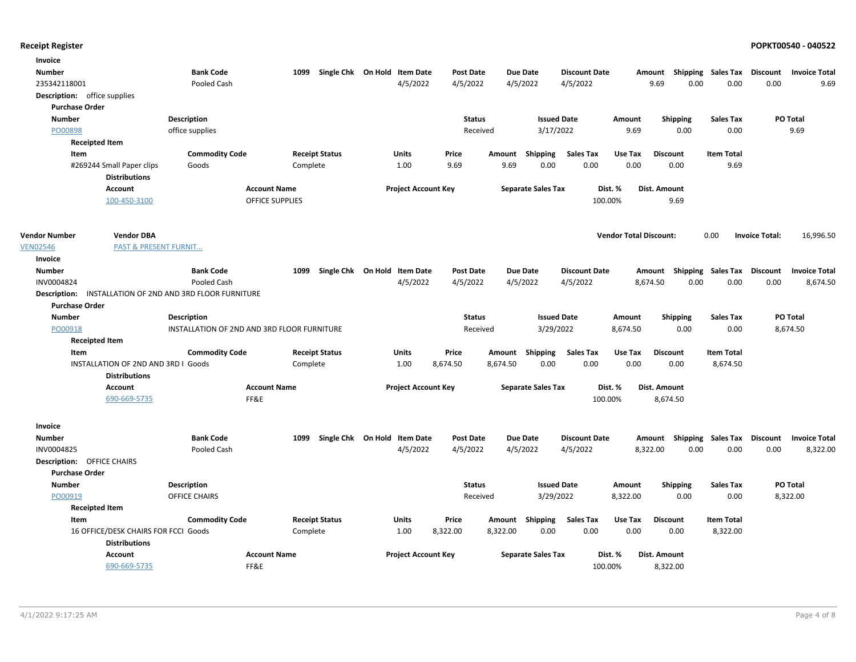| <b>Bank Code</b><br>Single Chk On Hold Item Date<br><b>Due Date</b><br><b>Discount Date</b><br><b>Number</b><br>1099<br><b>Post Date</b><br><b>Shipping Sales Tax</b><br>Discount<br><b>Invoice Total</b><br>Amount<br>235342118001<br>4/5/2022<br>4/5/2022<br>4/5/2022<br>4/5/2022<br>9.69<br>0.00<br>0.00<br>0.00<br>9.69<br>Pooled Cash<br><b>Description:</b> office supplies<br><b>Purchase Order</b><br>PO Total<br><b>Number</b><br><b>Description</b><br><b>Status</b><br><b>Issued Date</b><br>Amount<br><b>Shipping</b><br><b>Sales Tax</b><br>3/17/2022<br>9.69<br>0.00<br>9.69<br>PO00898<br>office supplies<br>Received<br>0.00<br><b>Receipted Item</b><br><b>Commodity Code</b><br><b>Receipt Status</b><br>Units<br>Price<br><b>Item Total</b><br>Item<br><b>Shipping</b><br><b>Sales Tax</b><br>Use Tax<br><b>Discount</b><br>Amount<br>0.00<br>#269244 Small Paper clips<br>1.00<br>9.69<br>9.69<br>0.00<br>0.00<br>0.00<br>9.69<br>Goods<br>Complete<br><b>Distributions</b><br><b>Account Name</b><br><b>Project Account Key</b><br><b>Separate Sales Tax</b><br>Dist. %<br>Dist. Amount<br><b>Account</b><br>100-450-3100<br><b>OFFICE SUPPLIES</b><br>100.00%<br>9.69<br><b>Vendor Total Discount:</b><br>0.00<br>16,996.50<br><b>Vendor DBA</b><br><b>Invoice Total:</b><br><b>PAST &amp; PRESENT FURNIT</b><br>Invoice<br><b>Number</b><br><b>Bank Code</b><br>Single Chk On Hold Item Date<br>Post Date<br><b>Due Date</b><br><b>Discount Date</b><br>Amount Shipping Sales Tax<br>Discount<br><b>Invoice Total</b><br>1099<br>4/5/2022<br>4/5/2022<br>4/5/2022<br>4/5/2022<br>8,674.50<br>0.00<br>0.00<br>INV0004824<br>Pooled Cash<br>0.00<br>8,674.50<br>INSTALLATION OF 2ND AND 3RD FLOOR FURNITURE<br>Description:<br><b>Purchase Order</b><br><b>PO Total</b><br><b>Number</b><br><b>Description</b><br><b>Status</b><br><b>Issued Date</b><br>Amount<br><b>Shipping</b><br><b>Sales Tax</b><br>PO00918<br>INSTALLATION OF 2ND AND 3RD FLOOR FURNITURE<br>3/29/2022<br>8,674.50<br>0.00<br>0.00<br>8,674.50<br>Received<br><b>Receipted Item</b><br>Item<br><b>Commodity Code</b><br><b>Receipt Status</b><br>Units<br>Price<br>Amount Shipping<br>Sales Tax<br>Use Tax<br><b>Discount</b><br><b>Item Total</b><br>0.00<br>0.00<br>INSTALLATION OF 2ND AND 3RD I Goods<br>1.00<br>8,674.50<br>8,674.50<br>0.00<br>0.00<br>8,674.50<br>Complete<br><b>Distributions</b><br>Account<br><b>Account Name</b><br><b>Project Account Key</b><br><b>Separate Sales Tax</b><br>Dist. %<br>Dist. Amount<br>FF&E<br>690-669-5735<br>100.00%<br>8,674.50<br>Invoice<br><b>Bank Code</b><br>1099<br>Single Chk On Hold Item Date<br><b>Post Date</b><br><b>Due Date</b><br><b>Discount Date</b><br>Amount Shipping Sales Tax<br><b>Discount</b><br><b>Invoice Total</b><br><b>Number</b><br>4/5/2022<br>4/5/2022<br>4/5/2022<br>8,322.00<br>INV0004825<br>Pooled Cash<br>4/5/2022<br>0.00<br>0.00<br>0.00<br>8,322.00<br><b>Description: OFFICE CHAIRS</b><br><b>Purchase Order</b><br><b>Number</b><br>PO Total<br><b>Description</b><br><b>Status</b><br><b>Issued Date</b><br><b>Shipping</b><br><b>Sales Tax</b><br>Amount<br>PO00919<br>OFFICE CHAIRS<br>Received<br>3/29/2022<br>8,322.00<br>0.00<br>0.00<br>8,322.00<br><b>Receipted Item</b><br><b>Receipt Status</b><br><b>Units</b><br>Price<br>Shipping<br><b>Sales Tax</b><br>Use Tax<br><b>Discount</b><br><b>Item Total</b><br>Item<br><b>Commodity Code</b><br>Amount<br>0.00<br>0.00<br>0.00<br>8,322.00<br>16 OFFICE/DESK CHAIRS FOR FCCI Goods<br>Complete<br>1.00<br>8,322.00<br>8,322.00<br>0.00<br><b>Distributions</b><br><b>Account Name</b><br><b>Project Account Key</b><br><b>Separate Sales Tax</b><br>Dist. %<br>Dist. Amount<br><b>Account</b><br>690-669-5735<br>100.00% | Invoice              |  |      |  |  |  |  |          |  |  |
|---------------------------------------------------------------------------------------------------------------------------------------------------------------------------------------------------------------------------------------------------------------------------------------------------------------------------------------------------------------------------------------------------------------------------------------------------------------------------------------------------------------------------------------------------------------------------------------------------------------------------------------------------------------------------------------------------------------------------------------------------------------------------------------------------------------------------------------------------------------------------------------------------------------------------------------------------------------------------------------------------------------------------------------------------------------------------------------------------------------------------------------------------------------------------------------------------------------------------------------------------------------------------------------------------------------------------------------------------------------------------------------------------------------------------------------------------------------------------------------------------------------------------------------------------------------------------------------------------------------------------------------------------------------------------------------------------------------------------------------------------------------------------------------------------------------------------------------------------------------------------------------------------------------------------------------------------------------------------------------------------------------------------------------------------------------------------------------------------------------------------------------------------------------------------------------------------------------------------------------------------------------------------------------------------------------------------------------------------------------------------------------------------------------------------------------------------------------------------------------------------------------------------------------------------------------------------------------------------------------------------------------------------------------------------------------------------------------------------------------------------------------------------------------------------------------------------------------------------------------------------------------------------------------------------------------------------------------------------------------------------------------------------------------------------------------------------------------------------------------------------------------------------------------------------------------------------------------------------------------------------------------------------------------------------------------------------------------------------------------------------------------------------------------------------------------------------------------------------------------------------------------------------------------------------------------------------------------------------------------------------------------------------------------------------------------------------------------------------------------------------------------------------|----------------------|--|------|--|--|--|--|----------|--|--|
|                                                                                                                                                                                                                                                                                                                                                                                                                                                                                                                                                                                                                                                                                                                                                                                                                                                                                                                                                                                                                                                                                                                                                                                                                                                                                                                                                                                                                                                                                                                                                                                                                                                                                                                                                                                                                                                                                                                                                                                                                                                                                                                                                                                                                                                                                                                                                                                                                                                                                                                                                                                                                                                                                                                                                                                                                                                                                                                                                                                                                                                                                                                                                                                                                                                                                                                                                                                                                                                                                                                                                                                                                                                                                                                                                                           |                      |  |      |  |  |  |  |          |  |  |
|                                                                                                                                                                                                                                                                                                                                                                                                                                                                                                                                                                                                                                                                                                                                                                                                                                                                                                                                                                                                                                                                                                                                                                                                                                                                                                                                                                                                                                                                                                                                                                                                                                                                                                                                                                                                                                                                                                                                                                                                                                                                                                                                                                                                                                                                                                                                                                                                                                                                                                                                                                                                                                                                                                                                                                                                                                                                                                                                                                                                                                                                                                                                                                                                                                                                                                                                                                                                                                                                                                                                                                                                                                                                                                                                                                           |                      |  |      |  |  |  |  |          |  |  |
|                                                                                                                                                                                                                                                                                                                                                                                                                                                                                                                                                                                                                                                                                                                                                                                                                                                                                                                                                                                                                                                                                                                                                                                                                                                                                                                                                                                                                                                                                                                                                                                                                                                                                                                                                                                                                                                                                                                                                                                                                                                                                                                                                                                                                                                                                                                                                                                                                                                                                                                                                                                                                                                                                                                                                                                                                                                                                                                                                                                                                                                                                                                                                                                                                                                                                                                                                                                                                                                                                                                                                                                                                                                                                                                                                                           |                      |  |      |  |  |  |  |          |  |  |
|                                                                                                                                                                                                                                                                                                                                                                                                                                                                                                                                                                                                                                                                                                                                                                                                                                                                                                                                                                                                                                                                                                                                                                                                                                                                                                                                                                                                                                                                                                                                                                                                                                                                                                                                                                                                                                                                                                                                                                                                                                                                                                                                                                                                                                                                                                                                                                                                                                                                                                                                                                                                                                                                                                                                                                                                                                                                                                                                                                                                                                                                                                                                                                                                                                                                                                                                                                                                                                                                                                                                                                                                                                                                                                                                                                           |                      |  |      |  |  |  |  |          |  |  |
|                                                                                                                                                                                                                                                                                                                                                                                                                                                                                                                                                                                                                                                                                                                                                                                                                                                                                                                                                                                                                                                                                                                                                                                                                                                                                                                                                                                                                                                                                                                                                                                                                                                                                                                                                                                                                                                                                                                                                                                                                                                                                                                                                                                                                                                                                                                                                                                                                                                                                                                                                                                                                                                                                                                                                                                                                                                                                                                                                                                                                                                                                                                                                                                                                                                                                                                                                                                                                                                                                                                                                                                                                                                                                                                                                                           |                      |  |      |  |  |  |  |          |  |  |
|                                                                                                                                                                                                                                                                                                                                                                                                                                                                                                                                                                                                                                                                                                                                                                                                                                                                                                                                                                                                                                                                                                                                                                                                                                                                                                                                                                                                                                                                                                                                                                                                                                                                                                                                                                                                                                                                                                                                                                                                                                                                                                                                                                                                                                                                                                                                                                                                                                                                                                                                                                                                                                                                                                                                                                                                                                                                                                                                                                                                                                                                                                                                                                                                                                                                                                                                                                                                                                                                                                                                                                                                                                                                                                                                                                           |                      |  |      |  |  |  |  |          |  |  |
|                                                                                                                                                                                                                                                                                                                                                                                                                                                                                                                                                                                                                                                                                                                                                                                                                                                                                                                                                                                                                                                                                                                                                                                                                                                                                                                                                                                                                                                                                                                                                                                                                                                                                                                                                                                                                                                                                                                                                                                                                                                                                                                                                                                                                                                                                                                                                                                                                                                                                                                                                                                                                                                                                                                                                                                                                                                                                                                                                                                                                                                                                                                                                                                                                                                                                                                                                                                                                                                                                                                                                                                                                                                                                                                                                                           |                      |  |      |  |  |  |  |          |  |  |
|                                                                                                                                                                                                                                                                                                                                                                                                                                                                                                                                                                                                                                                                                                                                                                                                                                                                                                                                                                                                                                                                                                                                                                                                                                                                                                                                                                                                                                                                                                                                                                                                                                                                                                                                                                                                                                                                                                                                                                                                                                                                                                                                                                                                                                                                                                                                                                                                                                                                                                                                                                                                                                                                                                                                                                                                                                                                                                                                                                                                                                                                                                                                                                                                                                                                                                                                                                                                                                                                                                                                                                                                                                                                                                                                                                           |                      |  |      |  |  |  |  |          |  |  |
|                                                                                                                                                                                                                                                                                                                                                                                                                                                                                                                                                                                                                                                                                                                                                                                                                                                                                                                                                                                                                                                                                                                                                                                                                                                                                                                                                                                                                                                                                                                                                                                                                                                                                                                                                                                                                                                                                                                                                                                                                                                                                                                                                                                                                                                                                                                                                                                                                                                                                                                                                                                                                                                                                                                                                                                                                                                                                                                                                                                                                                                                                                                                                                                                                                                                                                                                                                                                                                                                                                                                                                                                                                                                                                                                                                           |                      |  |      |  |  |  |  |          |  |  |
|                                                                                                                                                                                                                                                                                                                                                                                                                                                                                                                                                                                                                                                                                                                                                                                                                                                                                                                                                                                                                                                                                                                                                                                                                                                                                                                                                                                                                                                                                                                                                                                                                                                                                                                                                                                                                                                                                                                                                                                                                                                                                                                                                                                                                                                                                                                                                                                                                                                                                                                                                                                                                                                                                                                                                                                                                                                                                                                                                                                                                                                                                                                                                                                                                                                                                                                                                                                                                                                                                                                                                                                                                                                                                                                                                                           |                      |  |      |  |  |  |  |          |  |  |
|                                                                                                                                                                                                                                                                                                                                                                                                                                                                                                                                                                                                                                                                                                                                                                                                                                                                                                                                                                                                                                                                                                                                                                                                                                                                                                                                                                                                                                                                                                                                                                                                                                                                                                                                                                                                                                                                                                                                                                                                                                                                                                                                                                                                                                                                                                                                                                                                                                                                                                                                                                                                                                                                                                                                                                                                                                                                                                                                                                                                                                                                                                                                                                                                                                                                                                                                                                                                                                                                                                                                                                                                                                                                                                                                                                           |                      |  |      |  |  |  |  |          |  |  |
|                                                                                                                                                                                                                                                                                                                                                                                                                                                                                                                                                                                                                                                                                                                                                                                                                                                                                                                                                                                                                                                                                                                                                                                                                                                                                                                                                                                                                                                                                                                                                                                                                                                                                                                                                                                                                                                                                                                                                                                                                                                                                                                                                                                                                                                                                                                                                                                                                                                                                                                                                                                                                                                                                                                                                                                                                                                                                                                                                                                                                                                                                                                                                                                                                                                                                                                                                                                                                                                                                                                                                                                                                                                                                                                                                                           | <b>Vendor Number</b> |  |      |  |  |  |  |          |  |  |
|                                                                                                                                                                                                                                                                                                                                                                                                                                                                                                                                                                                                                                                                                                                                                                                                                                                                                                                                                                                                                                                                                                                                                                                                                                                                                                                                                                                                                                                                                                                                                                                                                                                                                                                                                                                                                                                                                                                                                                                                                                                                                                                                                                                                                                                                                                                                                                                                                                                                                                                                                                                                                                                                                                                                                                                                                                                                                                                                                                                                                                                                                                                                                                                                                                                                                                                                                                                                                                                                                                                                                                                                                                                                                                                                                                           | <b>VEN02546</b>      |  |      |  |  |  |  |          |  |  |
|                                                                                                                                                                                                                                                                                                                                                                                                                                                                                                                                                                                                                                                                                                                                                                                                                                                                                                                                                                                                                                                                                                                                                                                                                                                                                                                                                                                                                                                                                                                                                                                                                                                                                                                                                                                                                                                                                                                                                                                                                                                                                                                                                                                                                                                                                                                                                                                                                                                                                                                                                                                                                                                                                                                                                                                                                                                                                                                                                                                                                                                                                                                                                                                                                                                                                                                                                                                                                                                                                                                                                                                                                                                                                                                                                                           |                      |  |      |  |  |  |  |          |  |  |
|                                                                                                                                                                                                                                                                                                                                                                                                                                                                                                                                                                                                                                                                                                                                                                                                                                                                                                                                                                                                                                                                                                                                                                                                                                                                                                                                                                                                                                                                                                                                                                                                                                                                                                                                                                                                                                                                                                                                                                                                                                                                                                                                                                                                                                                                                                                                                                                                                                                                                                                                                                                                                                                                                                                                                                                                                                                                                                                                                                                                                                                                                                                                                                                                                                                                                                                                                                                                                                                                                                                                                                                                                                                                                                                                                                           |                      |  |      |  |  |  |  |          |  |  |
|                                                                                                                                                                                                                                                                                                                                                                                                                                                                                                                                                                                                                                                                                                                                                                                                                                                                                                                                                                                                                                                                                                                                                                                                                                                                                                                                                                                                                                                                                                                                                                                                                                                                                                                                                                                                                                                                                                                                                                                                                                                                                                                                                                                                                                                                                                                                                                                                                                                                                                                                                                                                                                                                                                                                                                                                                                                                                                                                                                                                                                                                                                                                                                                                                                                                                                                                                                                                                                                                                                                                                                                                                                                                                                                                                                           |                      |  |      |  |  |  |  |          |  |  |
|                                                                                                                                                                                                                                                                                                                                                                                                                                                                                                                                                                                                                                                                                                                                                                                                                                                                                                                                                                                                                                                                                                                                                                                                                                                                                                                                                                                                                                                                                                                                                                                                                                                                                                                                                                                                                                                                                                                                                                                                                                                                                                                                                                                                                                                                                                                                                                                                                                                                                                                                                                                                                                                                                                                                                                                                                                                                                                                                                                                                                                                                                                                                                                                                                                                                                                                                                                                                                                                                                                                                                                                                                                                                                                                                                                           |                      |  |      |  |  |  |  |          |  |  |
|                                                                                                                                                                                                                                                                                                                                                                                                                                                                                                                                                                                                                                                                                                                                                                                                                                                                                                                                                                                                                                                                                                                                                                                                                                                                                                                                                                                                                                                                                                                                                                                                                                                                                                                                                                                                                                                                                                                                                                                                                                                                                                                                                                                                                                                                                                                                                                                                                                                                                                                                                                                                                                                                                                                                                                                                                                                                                                                                                                                                                                                                                                                                                                                                                                                                                                                                                                                                                                                                                                                                                                                                                                                                                                                                                                           |                      |  |      |  |  |  |  |          |  |  |
|                                                                                                                                                                                                                                                                                                                                                                                                                                                                                                                                                                                                                                                                                                                                                                                                                                                                                                                                                                                                                                                                                                                                                                                                                                                                                                                                                                                                                                                                                                                                                                                                                                                                                                                                                                                                                                                                                                                                                                                                                                                                                                                                                                                                                                                                                                                                                                                                                                                                                                                                                                                                                                                                                                                                                                                                                                                                                                                                                                                                                                                                                                                                                                                                                                                                                                                                                                                                                                                                                                                                                                                                                                                                                                                                                                           |                      |  |      |  |  |  |  |          |  |  |
|                                                                                                                                                                                                                                                                                                                                                                                                                                                                                                                                                                                                                                                                                                                                                                                                                                                                                                                                                                                                                                                                                                                                                                                                                                                                                                                                                                                                                                                                                                                                                                                                                                                                                                                                                                                                                                                                                                                                                                                                                                                                                                                                                                                                                                                                                                                                                                                                                                                                                                                                                                                                                                                                                                                                                                                                                                                                                                                                                                                                                                                                                                                                                                                                                                                                                                                                                                                                                                                                                                                                                                                                                                                                                                                                                                           |                      |  |      |  |  |  |  |          |  |  |
|                                                                                                                                                                                                                                                                                                                                                                                                                                                                                                                                                                                                                                                                                                                                                                                                                                                                                                                                                                                                                                                                                                                                                                                                                                                                                                                                                                                                                                                                                                                                                                                                                                                                                                                                                                                                                                                                                                                                                                                                                                                                                                                                                                                                                                                                                                                                                                                                                                                                                                                                                                                                                                                                                                                                                                                                                                                                                                                                                                                                                                                                                                                                                                                                                                                                                                                                                                                                                                                                                                                                                                                                                                                                                                                                                                           |                      |  |      |  |  |  |  |          |  |  |
|                                                                                                                                                                                                                                                                                                                                                                                                                                                                                                                                                                                                                                                                                                                                                                                                                                                                                                                                                                                                                                                                                                                                                                                                                                                                                                                                                                                                                                                                                                                                                                                                                                                                                                                                                                                                                                                                                                                                                                                                                                                                                                                                                                                                                                                                                                                                                                                                                                                                                                                                                                                                                                                                                                                                                                                                                                                                                                                                                                                                                                                                                                                                                                                                                                                                                                                                                                                                                                                                                                                                                                                                                                                                                                                                                                           |                      |  |      |  |  |  |  |          |  |  |
|                                                                                                                                                                                                                                                                                                                                                                                                                                                                                                                                                                                                                                                                                                                                                                                                                                                                                                                                                                                                                                                                                                                                                                                                                                                                                                                                                                                                                                                                                                                                                                                                                                                                                                                                                                                                                                                                                                                                                                                                                                                                                                                                                                                                                                                                                                                                                                                                                                                                                                                                                                                                                                                                                                                                                                                                                                                                                                                                                                                                                                                                                                                                                                                                                                                                                                                                                                                                                                                                                                                                                                                                                                                                                                                                                                           |                      |  |      |  |  |  |  |          |  |  |
|                                                                                                                                                                                                                                                                                                                                                                                                                                                                                                                                                                                                                                                                                                                                                                                                                                                                                                                                                                                                                                                                                                                                                                                                                                                                                                                                                                                                                                                                                                                                                                                                                                                                                                                                                                                                                                                                                                                                                                                                                                                                                                                                                                                                                                                                                                                                                                                                                                                                                                                                                                                                                                                                                                                                                                                                                                                                                                                                                                                                                                                                                                                                                                                                                                                                                                                                                                                                                                                                                                                                                                                                                                                                                                                                                                           |                      |  |      |  |  |  |  |          |  |  |
|                                                                                                                                                                                                                                                                                                                                                                                                                                                                                                                                                                                                                                                                                                                                                                                                                                                                                                                                                                                                                                                                                                                                                                                                                                                                                                                                                                                                                                                                                                                                                                                                                                                                                                                                                                                                                                                                                                                                                                                                                                                                                                                                                                                                                                                                                                                                                                                                                                                                                                                                                                                                                                                                                                                                                                                                                                                                                                                                                                                                                                                                                                                                                                                                                                                                                                                                                                                                                                                                                                                                                                                                                                                                                                                                                                           |                      |  |      |  |  |  |  |          |  |  |
|                                                                                                                                                                                                                                                                                                                                                                                                                                                                                                                                                                                                                                                                                                                                                                                                                                                                                                                                                                                                                                                                                                                                                                                                                                                                                                                                                                                                                                                                                                                                                                                                                                                                                                                                                                                                                                                                                                                                                                                                                                                                                                                                                                                                                                                                                                                                                                                                                                                                                                                                                                                                                                                                                                                                                                                                                                                                                                                                                                                                                                                                                                                                                                                                                                                                                                                                                                                                                                                                                                                                                                                                                                                                                                                                                                           |                      |  |      |  |  |  |  |          |  |  |
|                                                                                                                                                                                                                                                                                                                                                                                                                                                                                                                                                                                                                                                                                                                                                                                                                                                                                                                                                                                                                                                                                                                                                                                                                                                                                                                                                                                                                                                                                                                                                                                                                                                                                                                                                                                                                                                                                                                                                                                                                                                                                                                                                                                                                                                                                                                                                                                                                                                                                                                                                                                                                                                                                                                                                                                                                                                                                                                                                                                                                                                                                                                                                                                                                                                                                                                                                                                                                                                                                                                                                                                                                                                                                                                                                                           |                      |  |      |  |  |  |  |          |  |  |
|                                                                                                                                                                                                                                                                                                                                                                                                                                                                                                                                                                                                                                                                                                                                                                                                                                                                                                                                                                                                                                                                                                                                                                                                                                                                                                                                                                                                                                                                                                                                                                                                                                                                                                                                                                                                                                                                                                                                                                                                                                                                                                                                                                                                                                                                                                                                                                                                                                                                                                                                                                                                                                                                                                                                                                                                                                                                                                                                                                                                                                                                                                                                                                                                                                                                                                                                                                                                                                                                                                                                                                                                                                                                                                                                                                           |                      |  |      |  |  |  |  |          |  |  |
|                                                                                                                                                                                                                                                                                                                                                                                                                                                                                                                                                                                                                                                                                                                                                                                                                                                                                                                                                                                                                                                                                                                                                                                                                                                                                                                                                                                                                                                                                                                                                                                                                                                                                                                                                                                                                                                                                                                                                                                                                                                                                                                                                                                                                                                                                                                                                                                                                                                                                                                                                                                                                                                                                                                                                                                                                                                                                                                                                                                                                                                                                                                                                                                                                                                                                                                                                                                                                                                                                                                                                                                                                                                                                                                                                                           |                      |  |      |  |  |  |  |          |  |  |
|                                                                                                                                                                                                                                                                                                                                                                                                                                                                                                                                                                                                                                                                                                                                                                                                                                                                                                                                                                                                                                                                                                                                                                                                                                                                                                                                                                                                                                                                                                                                                                                                                                                                                                                                                                                                                                                                                                                                                                                                                                                                                                                                                                                                                                                                                                                                                                                                                                                                                                                                                                                                                                                                                                                                                                                                                                                                                                                                                                                                                                                                                                                                                                                                                                                                                                                                                                                                                                                                                                                                                                                                                                                                                                                                                                           |                      |  |      |  |  |  |  |          |  |  |
|                                                                                                                                                                                                                                                                                                                                                                                                                                                                                                                                                                                                                                                                                                                                                                                                                                                                                                                                                                                                                                                                                                                                                                                                                                                                                                                                                                                                                                                                                                                                                                                                                                                                                                                                                                                                                                                                                                                                                                                                                                                                                                                                                                                                                                                                                                                                                                                                                                                                                                                                                                                                                                                                                                                                                                                                                                                                                                                                                                                                                                                                                                                                                                                                                                                                                                                                                                                                                                                                                                                                                                                                                                                                                                                                                                           |                      |  |      |  |  |  |  |          |  |  |
|                                                                                                                                                                                                                                                                                                                                                                                                                                                                                                                                                                                                                                                                                                                                                                                                                                                                                                                                                                                                                                                                                                                                                                                                                                                                                                                                                                                                                                                                                                                                                                                                                                                                                                                                                                                                                                                                                                                                                                                                                                                                                                                                                                                                                                                                                                                                                                                                                                                                                                                                                                                                                                                                                                                                                                                                                                                                                                                                                                                                                                                                                                                                                                                                                                                                                                                                                                                                                                                                                                                                                                                                                                                                                                                                                                           |                      |  |      |  |  |  |  |          |  |  |
|                                                                                                                                                                                                                                                                                                                                                                                                                                                                                                                                                                                                                                                                                                                                                                                                                                                                                                                                                                                                                                                                                                                                                                                                                                                                                                                                                                                                                                                                                                                                                                                                                                                                                                                                                                                                                                                                                                                                                                                                                                                                                                                                                                                                                                                                                                                                                                                                                                                                                                                                                                                                                                                                                                                                                                                                                                                                                                                                                                                                                                                                                                                                                                                                                                                                                                                                                                                                                                                                                                                                                                                                                                                                                                                                                                           |                      |  |      |  |  |  |  |          |  |  |
|                                                                                                                                                                                                                                                                                                                                                                                                                                                                                                                                                                                                                                                                                                                                                                                                                                                                                                                                                                                                                                                                                                                                                                                                                                                                                                                                                                                                                                                                                                                                                                                                                                                                                                                                                                                                                                                                                                                                                                                                                                                                                                                                                                                                                                                                                                                                                                                                                                                                                                                                                                                                                                                                                                                                                                                                                                                                                                                                                                                                                                                                                                                                                                                                                                                                                                                                                                                                                                                                                                                                                                                                                                                                                                                                                                           |                      |  |      |  |  |  |  |          |  |  |
|                                                                                                                                                                                                                                                                                                                                                                                                                                                                                                                                                                                                                                                                                                                                                                                                                                                                                                                                                                                                                                                                                                                                                                                                                                                                                                                                                                                                                                                                                                                                                                                                                                                                                                                                                                                                                                                                                                                                                                                                                                                                                                                                                                                                                                                                                                                                                                                                                                                                                                                                                                                                                                                                                                                                                                                                                                                                                                                                                                                                                                                                                                                                                                                                                                                                                                                                                                                                                                                                                                                                                                                                                                                                                                                                                                           |                      |  |      |  |  |  |  |          |  |  |
|                                                                                                                                                                                                                                                                                                                                                                                                                                                                                                                                                                                                                                                                                                                                                                                                                                                                                                                                                                                                                                                                                                                                                                                                                                                                                                                                                                                                                                                                                                                                                                                                                                                                                                                                                                                                                                                                                                                                                                                                                                                                                                                                                                                                                                                                                                                                                                                                                                                                                                                                                                                                                                                                                                                                                                                                                                                                                                                                                                                                                                                                                                                                                                                                                                                                                                                                                                                                                                                                                                                                                                                                                                                                                                                                                                           |                      |  |      |  |  |  |  |          |  |  |
|                                                                                                                                                                                                                                                                                                                                                                                                                                                                                                                                                                                                                                                                                                                                                                                                                                                                                                                                                                                                                                                                                                                                                                                                                                                                                                                                                                                                                                                                                                                                                                                                                                                                                                                                                                                                                                                                                                                                                                                                                                                                                                                                                                                                                                                                                                                                                                                                                                                                                                                                                                                                                                                                                                                                                                                                                                                                                                                                                                                                                                                                                                                                                                                                                                                                                                                                                                                                                                                                                                                                                                                                                                                                                                                                                                           |                      |  | FF&E |  |  |  |  | 8,322.00 |  |  |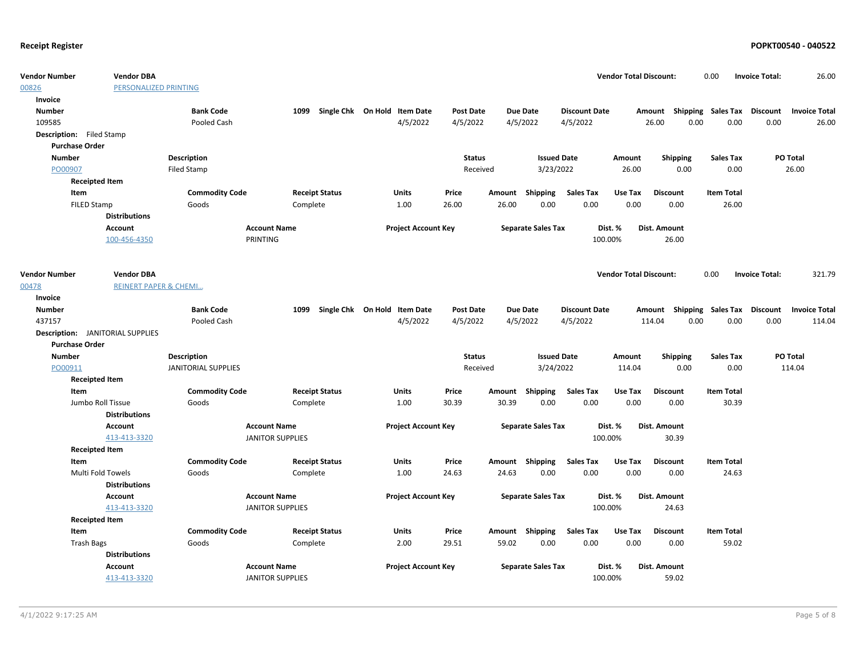| <b>Vendor Number</b>                    | <b>Vendor DBA</b>                |                            |                         |                                   |                              |                            |                  |        |                           |                      | <b>Vendor Total Discount:</b> |                           | 0.00              |       | <b>Invoice Total:</b> | 26.00                |
|-----------------------------------------|----------------------------------|----------------------------|-------------------------|-----------------------------------|------------------------------|----------------------------|------------------|--------|---------------------------|----------------------|-------------------------------|---------------------------|-------------------|-------|-----------------------|----------------------|
| 00826                                   | PERSONALIZED PRINTING            |                            |                         |                                   |                              |                            |                  |        |                           |                      |                               |                           |                   |       |                       |                      |
| Invoice                                 |                                  |                            |                         |                                   |                              |                            |                  |        |                           |                      |                               |                           |                   |       |                       |                      |
| <b>Number</b>                           |                                  | <b>Bank Code</b>           |                         | 1099 Single Chk On Hold Item Date |                              |                            | <b>Post Date</b> |        | <b>Due Date</b>           | <b>Discount Date</b> |                               | Amount Shipping Sales Tax |                   |       | Discount              | <b>Invoice Total</b> |
| 109585                                  |                                  | Pooled Cash                |                         |                                   |                              | 4/5/2022                   | 4/5/2022         |        | 4/5/2022                  | 4/5/2022             |                               | 26.00                     | 0.00              | 0.00  | 0.00                  | 26.00                |
| Description: Filed Stamp                |                                  |                            |                         |                                   |                              |                            |                  |        |                           |                      |                               |                           |                   |       |                       |                      |
| <b>Purchase Order</b>                   |                                  |                            |                         |                                   |                              |                            |                  |        |                           |                      |                               |                           |                   |       |                       |                      |
| <b>Number</b>                           |                                  | <b>Description</b>         |                         |                                   |                              |                            | <b>Status</b>    |        | <b>Issued Date</b>        |                      | Amount                        | <b>Shipping</b>           | <b>Sales Tax</b>  |       |                       | PO Total             |
| PO00907                                 |                                  | <b>Filed Stamp</b>         |                         |                                   |                              |                            | Received         |        | 3/23/2022                 |                      | 26.00                         | 0.00                      |                   | 0.00  |                       | 26.00                |
| <b>Receipted Item</b>                   |                                  |                            |                         |                                   |                              |                            |                  |        |                           |                      |                               |                           |                   |       |                       |                      |
| Item                                    |                                  | <b>Commodity Code</b>      |                         | <b>Receipt Status</b>             | <b>Units</b>                 |                            | Price            | Amount | Shipping                  | <b>Sales Tax</b>     | Use Tax                       | <b>Discount</b>           | <b>Item Total</b> |       |                       |                      |
| FILED Stamp                             |                                  | Goods                      |                         | Complete                          | 1.00                         |                            | 26.00            | 26.00  | 0.00                      | 0.00                 | 0.00                          | 0.00                      |                   | 26.00 |                       |                      |
|                                         | <b>Distributions</b>             |                            |                         |                                   |                              |                            |                  |        |                           |                      |                               |                           |                   |       |                       |                      |
|                                         | Account                          |                            | <b>Account Name</b>     |                                   |                              | <b>Project Account Key</b> |                  |        | <b>Separate Sales Tax</b> |                      | Dist. %                       | <b>Dist. Amount</b>       |                   |       |                       |                      |
|                                         | 100-456-4350                     |                            | PRINTING                |                                   |                              |                            |                  |        |                           |                      | 100.00%                       | 26.00                     |                   |       |                       |                      |
|                                         |                                  |                            |                         |                                   |                              |                            |                  |        |                           |                      |                               |                           |                   |       |                       |                      |
| <b>Vendor Number</b>                    | <b>Vendor DBA</b>                |                            |                         |                                   |                              |                            |                  |        |                           |                      | <b>Vendor Total Discount:</b> |                           | 0.00              |       | <b>Invoice Total:</b> | 321.79               |
| 00478                                   | <b>REINERT PAPER &amp; CHEMI</b> |                            |                         |                                   |                              |                            |                  |        |                           |                      |                               |                           |                   |       |                       |                      |
| Invoice                                 |                                  |                            |                         |                                   |                              |                            |                  |        |                           |                      |                               |                           |                   |       |                       |                      |
| <b>Number</b>                           |                                  | <b>Bank Code</b>           | 1099                    |                                   | Single Chk On Hold Item Date |                            | <b>Post Date</b> |        | <b>Due Date</b>           | <b>Discount Date</b> |                               | Amount Shipping Sales Tax |                   |       | Discount              | <b>Invoice Total</b> |
| 437157                                  |                                  | Pooled Cash                |                         |                                   |                              | 4/5/2022                   | 4/5/2022         |        | 4/5/2022                  | 4/5/2022             |                               | 114.04                    | 0.00              | 0.00  | 0.00                  | 114.04               |
| <b>Description:</b> JANITORIAL SUPPLIES |                                  |                            |                         |                                   |                              |                            |                  |        |                           |                      |                               |                           |                   |       |                       |                      |
| <b>Purchase Order</b>                   |                                  |                            |                         |                                   |                              |                            |                  |        |                           |                      |                               |                           |                   |       |                       |                      |
| <b>Number</b>                           |                                  | <b>Description</b>         |                         |                                   |                              |                            | <b>Status</b>    |        | <b>Issued Date</b>        |                      | Amount                        | <b>Shipping</b>           | <b>Sales Tax</b>  |       |                       | PO Total             |
| PO00911                                 |                                  | <b>JANITORIAL SUPPLIES</b> |                         |                                   |                              |                            | Received         |        | 3/24/2022                 |                      | 114.04                        | 0.00                      |                   | 0.00  |                       | 114.04               |
|                                         |                                  |                            |                         |                                   |                              |                            |                  |        |                           |                      |                               |                           |                   |       |                       |                      |
| <b>Receipted Item</b>                   |                                  |                            |                         |                                   |                              |                            |                  |        |                           |                      |                               |                           |                   |       |                       |                      |
| Item                                    |                                  | <b>Commodity Code</b>      |                         | <b>Receipt Status</b>             | Units                        |                            | Price            |        | Amount Shipping           | <b>Sales Tax</b>     | Use Tax                       | <b>Discount</b>           | <b>Item Total</b> |       |                       |                      |
| Jumbo Roll Tissue                       |                                  | Goods                      |                         | Complete                          | 1.00                         |                            | 30.39            | 30.39  | 0.00                      | 0.00                 | 0.00                          | 0.00                      |                   | 30.39 |                       |                      |
|                                         | <b>Distributions</b>             |                            |                         |                                   |                              |                            |                  |        |                           |                      |                               |                           |                   |       |                       |                      |
|                                         | Account                          |                            | <b>Account Name</b>     |                                   |                              | <b>Project Account Key</b> |                  |        | <b>Separate Sales Tax</b> |                      | Dist. %                       | Dist. Amount              |                   |       |                       |                      |
|                                         | 413-413-3320                     |                            | <b>JANITOR SUPPLIES</b> |                                   |                              |                            |                  |        |                           |                      | 100.00%                       | 30.39                     |                   |       |                       |                      |
| <b>Receipted Item</b>                   |                                  |                            |                         |                                   |                              |                            |                  |        |                           |                      |                               |                           |                   |       |                       |                      |
| Item                                    |                                  | <b>Commodity Code</b>      |                         | <b>Receipt Status</b>             | Units                        |                            | Price            |        | Amount Shipping           | <b>Sales Tax</b>     | Use Tax                       | <b>Discount</b>           | <b>Item Total</b> |       |                       |                      |
| <b>Multi Fold Towels</b>                |                                  | Goods                      |                         | Complete                          | 1.00                         |                            | 24.63            | 24.63  | 0.00                      | 0.00                 | 0.00                          | 0.00                      |                   | 24.63 |                       |                      |
|                                         | <b>Distributions</b>             |                            |                         |                                   |                              |                            |                  |        |                           |                      |                               |                           |                   |       |                       |                      |
|                                         | <b>Account</b>                   |                            | <b>Account Name</b>     |                                   |                              | <b>Project Account Key</b> |                  |        | <b>Separate Sales Tax</b> |                      | Dist. %                       | Dist. Amount              |                   |       |                       |                      |
|                                         | 413-413-3320                     |                            | <b>JANITOR SUPPLIES</b> |                                   |                              |                            |                  |        |                           |                      | 100.00%                       | 24.63                     |                   |       |                       |                      |
| <b>Receipted Item</b>                   |                                  |                            |                         |                                   |                              |                            |                  |        |                           |                      |                               |                           |                   |       |                       |                      |
| Item                                    |                                  | <b>Commodity Code</b>      |                         | <b>Receipt Status</b>             | Units                        |                            | Price            |        | Amount Shipping           | <b>Sales Tax</b>     | Use Tax                       | <b>Discount</b>           | <b>Item Total</b> |       |                       |                      |
| <b>Trash Bags</b>                       |                                  | Goods                      |                         | Complete                          | 2.00                         |                            | 29.51            | 59.02  | 0.00                      | 0.00                 | 0.00                          | 0.00                      |                   | 59.02 |                       |                      |
|                                         | <b>Distributions</b>             |                            |                         |                                   |                              |                            |                  |        |                           |                      |                               |                           |                   |       |                       |                      |
|                                         | Account                          |                            | <b>Account Name</b>     |                                   |                              | <b>Project Account Key</b> |                  |        | <b>Separate Sales Tax</b> |                      | Dist. %                       | Dist. Amount              |                   |       |                       |                      |
|                                         | 413-413-3320                     |                            | <b>JANITOR SUPPLIES</b> |                                   |                              |                            |                  |        |                           |                      | 100.00%                       | 59.02                     |                   |       |                       |                      |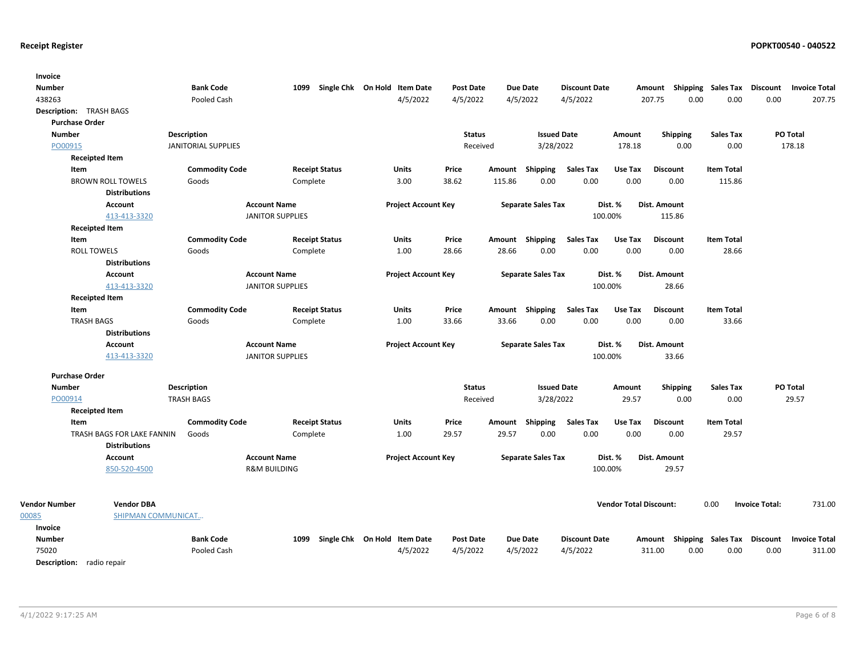| Invoice                          |                            |                            |                         |                       |                              |                  |        |                           |                      |                               |                     |      |                                    |                       |                      |
|----------------------------------|----------------------------|----------------------------|-------------------------|-----------------------|------------------------------|------------------|--------|---------------------------|----------------------|-------------------------------|---------------------|------|------------------------------------|-----------------------|----------------------|
| <b>Number</b>                    |                            | <b>Bank Code</b>           | 1099                    |                       | Single Chk On Hold Item Date | <b>Post Date</b> |        | Due Date                  | <b>Discount Date</b> |                               |                     |      | Amount Shipping Sales Tax          | Discount              | <b>Invoice Total</b> |
| 438263                           |                            | Pooled Cash                |                         |                       | 4/5/2022                     | 4/5/2022         |        | 4/5/2022                  | 4/5/2022             |                               | 207.75              | 0.00 | 0.00                               | 0.00                  | 207.75               |
| Description: TRASH BAGS          |                            |                            |                         |                       |                              |                  |        |                           |                      |                               |                     |      |                                    |                       |                      |
| <b>Purchase Order</b>            |                            |                            |                         |                       |                              |                  |        |                           |                      |                               |                     |      |                                    |                       |                      |
| <b>Number</b>                    |                            | Description                |                         |                       |                              | <b>Status</b>    |        | <b>Issued Date</b>        |                      | Amount                        | <b>Shipping</b>     |      | <b>Sales Tax</b>                   |                       | PO Total             |
| PO00915                          |                            | <b>JANITORIAL SUPPLIES</b> |                         |                       |                              | Received         |        | 3/28/2022                 |                      | 178.18                        |                     | 0.00 | 0.00                               |                       | 178.18               |
|                                  | <b>Receipted Item</b>      |                            |                         |                       |                              |                  |        |                           |                      |                               |                     |      |                                    |                       |                      |
| Item                             |                            | <b>Commodity Code</b>      |                         | <b>Receipt Status</b> | <b>Units</b>                 | Price            |        | Amount Shipping           | <b>Sales Tax</b>     | Use Tax                       | <b>Discount</b>     |      | <b>Item Total</b>                  |                       |                      |
|                                  | <b>BROWN ROLL TOWELS</b>   | Goods                      | Complete                |                       | 3.00                         | 38.62            | 115.86 | 0.00                      | 0.00                 | 0.00                          | 0.00                |      | 115.86                             |                       |                      |
|                                  | <b>Distributions</b>       |                            |                         |                       |                              |                  |        |                           |                      |                               |                     |      |                                    |                       |                      |
|                                  | <b>Account</b>             |                            | <b>Account Name</b>     |                       | <b>Project Account Key</b>   |                  |        | <b>Separate Sales Tax</b> |                      | Dist. %                       | <b>Dist. Amount</b> |      |                                    |                       |                      |
|                                  | 413-413-3320               |                            | <b>JANITOR SUPPLIES</b> |                       |                              |                  |        |                           |                      | 100.00%                       | 115.86              |      |                                    |                       |                      |
| <b>Receipted Item</b>            |                            |                            |                         |                       |                              |                  |        |                           |                      |                               |                     |      |                                    |                       |                      |
| Item                             |                            | <b>Commodity Code</b>      |                         | <b>Receipt Status</b> | Units                        | Price            |        | Amount Shipping           | <b>Sales Tax</b>     | Use Tax                       | <b>Discount</b>     |      | <b>Item Total</b>                  |                       |                      |
| <b>ROLL TOWELS</b>               |                            | Goods                      | Complete                |                       | 1.00                         | 28.66            | 28.66  | 0.00                      | 0.00                 | 0.00                          | 0.00                |      | 28.66                              |                       |                      |
|                                  | <b>Distributions</b>       |                            |                         |                       |                              |                  |        |                           |                      |                               |                     |      |                                    |                       |                      |
|                                  | <b>Account</b>             |                            | <b>Account Name</b>     |                       | <b>Project Account Key</b>   |                  |        | <b>Separate Sales Tax</b> |                      | Dist. %                       | Dist. Amount        |      |                                    |                       |                      |
|                                  | 413-413-3320               |                            | <b>JANITOR SUPPLIES</b> |                       |                              |                  |        |                           |                      | 100.00%                       | 28.66               |      |                                    |                       |                      |
| <b>Receipted Item</b>            |                            |                            |                         |                       |                              |                  |        |                           |                      |                               |                     |      |                                    |                       |                      |
| Item                             |                            | <b>Commodity Code</b>      |                         | <b>Receipt Status</b> | <b>Units</b>                 | Price            |        | Amount Shipping           | <b>Sales Tax</b>     | Use Tax                       | <b>Discount</b>     |      | <b>Item Total</b>                  |                       |                      |
| <b>TRASH BAGS</b>                |                            | Goods                      | Complete                |                       | 1.00                         | 33.66            | 33.66  | 0.00                      | 0.00                 | 0.00                          | 0.00                |      | 33.66                              |                       |                      |
|                                  | <b>Distributions</b>       |                            |                         |                       |                              |                  |        |                           |                      |                               |                     |      |                                    |                       |                      |
|                                  | <b>Account</b>             |                            | <b>Account Name</b>     |                       | <b>Project Account Key</b>   |                  |        | <b>Separate Sales Tax</b> |                      | Dist. %                       | Dist. Amount        |      |                                    |                       |                      |
|                                  | 413-413-3320               |                            | <b>JANITOR SUPPLIES</b> |                       |                              |                  |        |                           |                      | 100.00%                       | 33.66               |      |                                    |                       |                      |
| <b>Purchase Order</b>            |                            |                            |                         |                       |                              |                  |        |                           |                      |                               |                     |      |                                    |                       |                      |
| <b>Number</b>                    |                            | Description                |                         |                       |                              | <b>Status</b>    |        | <b>Issued Date</b>        |                      | Amount                        | Shipping            |      | <b>Sales Tax</b>                   |                       | PO Total             |
| PO00914                          |                            | <b>TRASH BAGS</b>          |                         |                       |                              | Received         |        | 3/28/2022                 |                      | 29.57                         |                     | 0.00 | 0.00                               |                       | 29.57                |
| <b>Receipted Item</b>            |                            |                            |                         |                       |                              |                  |        |                           |                      |                               |                     |      |                                    |                       |                      |
| Item                             |                            | <b>Commodity Code</b>      |                         | <b>Receipt Status</b> | <b>Units</b>                 | Price            |        | Amount Shipping           | <b>Sales Tax</b>     | Use Tax                       | <b>Discount</b>     |      | <b>Item Total</b>                  |                       |                      |
|                                  | TRASH BAGS FOR LAKE FANNIN | Goods                      | Complete                |                       | 1.00                         | 29.57            | 29.57  | 0.00                      | 0.00                 | 0.00                          | 0.00                |      | 29.57                              |                       |                      |
|                                  | <b>Distributions</b>       |                            |                         |                       |                              |                  |        |                           |                      |                               |                     |      |                                    |                       |                      |
|                                  | Account                    |                            | <b>Account Name</b>     |                       | <b>Project Account Key</b>   |                  |        | <b>Separate Sales Tax</b> |                      | Dist. %                       | Dist. Amount        |      |                                    |                       |                      |
|                                  | 850-520-4500               |                            | <b>R&amp;M BUILDING</b> |                       |                              |                  |        |                           |                      | 100.00%                       | 29.57               |      |                                    |                       |                      |
|                                  |                            |                            |                         |                       |                              |                  |        |                           |                      |                               |                     |      |                                    |                       |                      |
| <b>Vendor Number</b>             | <b>Vendor DBA</b>          |                            |                         |                       |                              |                  |        |                           |                      | <b>Vendor Total Discount:</b> |                     |      | 0.00                               | <b>Invoice Total:</b> | 731.00               |
| 00085                            | SHIPMAN COMMUNICAT         |                            |                         |                       |                              |                  |        |                           |                      |                               |                     |      |                                    |                       |                      |
| Invoice                          |                            |                            |                         |                       |                              |                  |        |                           |                      |                               |                     |      |                                    |                       |                      |
| <b>Number</b>                    |                            | <b>Bank Code</b>           | 1099                    |                       | Single Chk On Hold Item Date | <b>Post Date</b> |        | <b>Due Date</b>           | <b>Discount Date</b> |                               |                     |      | Amount Shipping Sales Tax Discount |                       | <b>Invoice Total</b> |
| 75020                            |                            | Pooled Cash                |                         |                       | 4/5/2022                     | 4/5/2022         |        | 4/5/2022                  | 4/5/2022             |                               | 311.00              | 0.00 | 0.00                               | 0.00                  | 311.00               |
| <b>Description:</b> radio repair |                            |                            |                         |                       |                              |                  |        |                           |                      |                               |                     |      |                                    |                       |                      |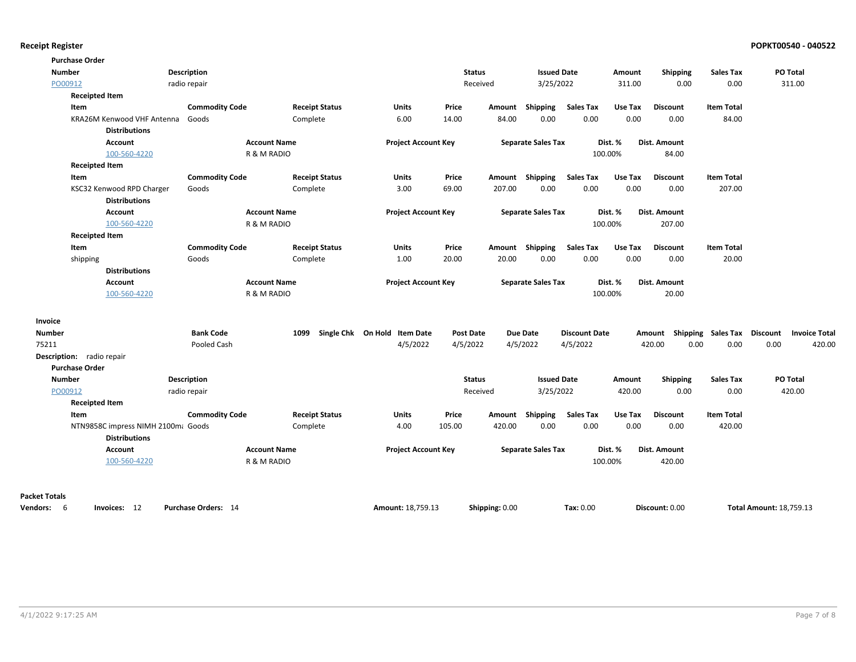| <b>Purchase Order</b>         |                                    |                                |                     |                                   |                              |                  |                |                           |                      |                 |                           |                   |                                  |
|-------------------------------|------------------------------------|--------------------------------|---------------------|-----------------------------------|------------------------------|------------------|----------------|---------------------------|----------------------|-----------------|---------------------------|-------------------|----------------------------------|
| <b>Number</b>                 |                                    | Description                    |                     |                                   |                              | <b>Status</b>    |                | <b>Issued Date</b>        |                      | Amount          | <b>Shipping</b>           | <b>Sales Tax</b>  | PO Total                         |
| PO00912                       |                                    | radio repair                   |                     |                                   |                              | Received         |                | 3/25/2022                 |                      | 311.00          | 0.00                      | 0.00              | 311.00                           |
| <b>Receipted Item</b>         |                                    |                                |                     |                                   |                              |                  |                |                           |                      |                 |                           |                   |                                  |
| Item                          |                                    | <b>Commodity Code</b>          |                     | <b>Receipt Status</b>             | Units                        | Price            |                | Amount Shipping           | <b>Sales Tax</b>     | Use Tax         | <b>Discount</b>           | <b>Item Total</b> |                                  |
|                               | KRA26M Kenwood VHF Antenna         | Goods                          |                     | Complete                          | 6.00                         | 14.00            | 84.00          | 0.00                      | 0.00                 | 0.00            | 0.00                      | 84.00             |                                  |
|                               | <b>Distributions</b>               |                                |                     |                                   |                              |                  |                |                           |                      |                 |                           |                   |                                  |
|                               | Account                            |                                | <b>Account Name</b> |                                   | <b>Project Account Key</b>   |                  |                | <b>Separate Sales Tax</b> |                      | Dist. %         | Dist. Amount              |                   |                                  |
|                               | 100-560-4220                       |                                | R & M RADIO         |                                   |                              |                  |                |                           |                      | 100.00%         | 84.00                     |                   |                                  |
| <b>Receipted Item</b>         |                                    |                                |                     |                                   |                              |                  |                |                           |                      |                 |                           |                   |                                  |
| Item                          |                                    | <b>Commodity Code</b>          |                     | <b>Receipt Status</b>             | <b>Units</b>                 | Price            |                | Amount Shipping           | <b>Sales Tax</b>     | Use Tax         | <b>Discount</b>           | <b>Item Total</b> |                                  |
|                               | KSC32 Kenwood RPD Charger          | Goods                          |                     | Complete                          | 3.00                         | 69.00            | 207.00         | 0.00                      | 0.00                 | 0.00            | 0.00                      | 207.00            |                                  |
|                               | <b>Distributions</b>               |                                |                     |                                   |                              |                  |                |                           |                      |                 |                           |                   |                                  |
|                               | <b>Account</b>                     |                                | <b>Account Name</b> |                                   | <b>Project Account Key</b>   |                  |                | <b>Separate Sales Tax</b> |                      | Dist. %         | Dist. Amount              |                   |                                  |
|                               | 100-560-4220                       |                                | R & M RADIO         |                                   |                              |                  |                |                           |                      | 100.00%         | 207.00                    |                   |                                  |
| <b>Receipted Item</b>         |                                    |                                |                     |                                   |                              |                  |                |                           | <b>Sales Tax</b>     |                 |                           | <b>Item Total</b> |                                  |
| Item                          |                                    | <b>Commodity Code</b><br>Goods |                     | <b>Receipt Status</b><br>Complete | Units<br>1.00                | Price<br>20.00   | 20.00          | Amount Shipping<br>0.00   | 0.00                 | Use Tax<br>0.00 | <b>Discount</b><br>0.00   | 20.00             |                                  |
| shipping                      | <b>Distributions</b>               |                                |                     |                                   |                              |                  |                |                           |                      |                 |                           |                   |                                  |
|                               | Account                            |                                | <b>Account Name</b> |                                   | <b>Project Account Key</b>   |                  |                | <b>Separate Sales Tax</b> |                      | Dist. %         | Dist. Amount              |                   |                                  |
|                               | 100-560-4220                       |                                | R & M RADIO         |                                   |                              |                  |                |                           |                      | 100.00%         | 20.00                     |                   |                                  |
|                               |                                    |                                |                     |                                   |                              |                  |                |                           |                      |                 |                           |                   |                                  |
| Invoice                       |                                    |                                |                     |                                   |                              |                  |                |                           |                      |                 |                           |                   |                                  |
| <b>Number</b>                 |                                    | <b>Bank Code</b>               | 1099                |                                   | Single Chk On Hold Item Date | <b>Post Date</b> |                | <b>Due Date</b>           | <b>Discount Date</b> |                 | Amount Shipping Sales Tax |                   | Discount<br><b>Invoice Total</b> |
| 75211                         |                                    | Pooled Cash                    |                     |                                   | 4/5/2022                     | 4/5/2022         |                | 4/5/2022                  | 4/5/2022             |                 | 420.00<br>0.00            | 0.00              | 0.00<br>420.00                   |
| Description: radio repair     |                                    |                                |                     |                                   |                              |                  |                |                           |                      |                 |                           |                   |                                  |
| <b>Purchase Order</b>         |                                    |                                |                     |                                   |                              |                  |                |                           |                      |                 |                           |                   |                                  |
| <b>Number</b>                 |                                    | Description                    |                     |                                   |                              | <b>Status</b>    |                | <b>Issued Date</b>        |                      | Amount          | Shipping                  | <b>Sales Tax</b>  | PO Total                         |
| PO00912                       |                                    | radio repair                   |                     |                                   |                              | Received         |                | 3/25/2022                 |                      | 420.00          | 0.00                      | 0.00              | 420.00                           |
| <b>Receipted Item</b><br>Item |                                    | <b>Commodity Code</b>          |                     | <b>Receipt Status</b>             | Units                        | Price            |                | Amount Shipping           | <b>Sales Tax</b>     | Use Tax         | <b>Discount</b>           | <b>Item Total</b> |                                  |
|                               | NTN9858C impress NIMH 2100m; Goods |                                |                     | Complete                          | 4.00                         | 105.00           | 420.00         | 0.00                      | 0.00                 | 0.00            | 0.00                      | 420.00            |                                  |
|                               | <b>Distributions</b>               |                                |                     |                                   |                              |                  |                |                           |                      |                 |                           |                   |                                  |
|                               | Account                            |                                | <b>Account Name</b> |                                   | <b>Project Account Key</b>   |                  |                | <b>Separate Sales Tax</b> |                      | Dist. %         | Dist. Amount              |                   |                                  |
|                               | 100-560-4220                       |                                | R & M RADIO         |                                   |                              |                  |                |                           |                      | 100.00%         | 420.00                    |                   |                                  |
|                               |                                    |                                |                     |                                   |                              |                  |                |                           |                      |                 |                           |                   |                                  |
| <b>Packet Totals</b>          |                                    |                                |                     |                                   |                              |                  |                |                           |                      |                 |                           |                   |                                  |
| Vendors: 6                    | Invoices: 12                       | Purchase Orders: 14            |                     |                                   | Amount: 18,759.13            |                  | Shipping: 0.00 |                           | Tax: 0.00            |                 | Discount: 0.00            |                   | <b>Total Amount: 18,759.13</b>   |